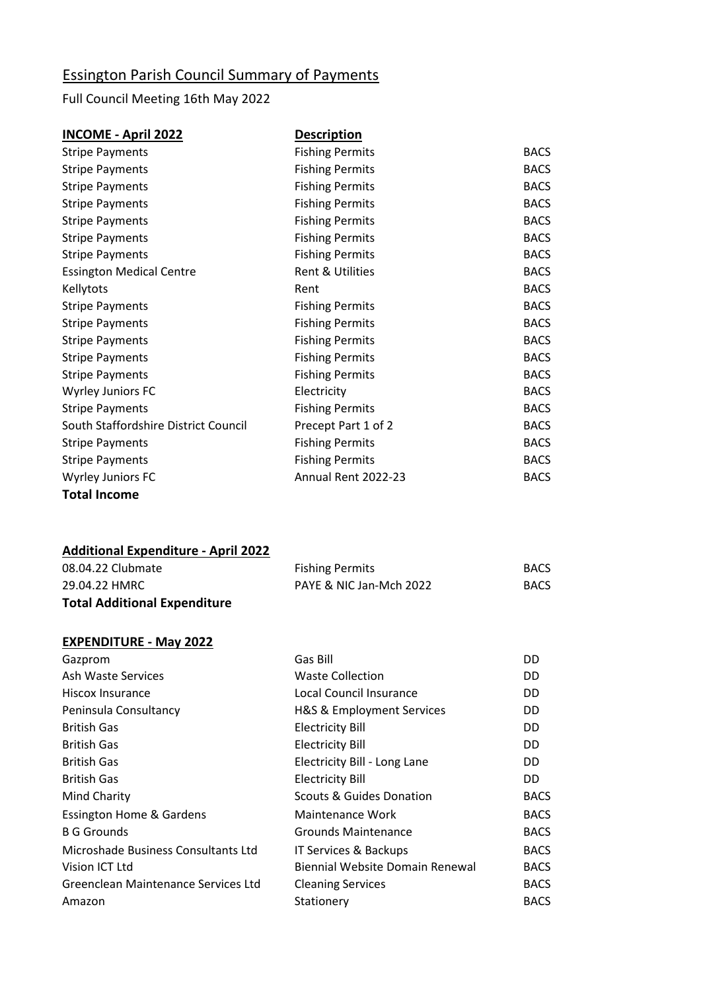## Essington Parish Council Summary of Payments

## Full Council Meeting 16th May 2022

| <b>INCOME - April 2022</b>           | <b>Description</b>     |             |
|--------------------------------------|------------------------|-------------|
| <b>Stripe Payments</b>               | <b>Fishing Permits</b> | <b>BACS</b> |
| <b>Stripe Payments</b>               | <b>Fishing Permits</b> | <b>BACS</b> |
| <b>Stripe Payments</b>               | <b>Fishing Permits</b> | <b>BACS</b> |
| <b>Stripe Payments</b>               | <b>Fishing Permits</b> | <b>BACS</b> |
| <b>Stripe Payments</b>               | <b>Fishing Permits</b> | <b>BACS</b> |
| <b>Stripe Payments</b>               | <b>Fishing Permits</b> | <b>BACS</b> |
| <b>Stripe Payments</b>               | <b>Fishing Permits</b> | <b>BACS</b> |
| <b>Essington Medical Centre</b>      | Rent & Utilities       | <b>BACS</b> |
| Kellytots                            | Rent                   | <b>BACS</b> |
| <b>Stripe Payments</b>               | <b>Fishing Permits</b> | <b>BACS</b> |
| <b>Stripe Payments</b>               | <b>Fishing Permits</b> | <b>BACS</b> |
| <b>Stripe Payments</b>               | <b>Fishing Permits</b> | <b>BACS</b> |
| <b>Stripe Payments</b>               | <b>Fishing Permits</b> | <b>BACS</b> |
| <b>Stripe Payments</b>               | <b>Fishing Permits</b> | <b>BACS</b> |
| Wyrley Juniors FC                    | Electricity            | <b>BACS</b> |
| <b>Stripe Payments</b>               | <b>Fishing Permits</b> | <b>BACS</b> |
| South Staffordshire District Council | Precept Part 1 of 2    | <b>BACS</b> |
| <b>Stripe Payments</b>               | <b>Fishing Permits</b> | <b>BACS</b> |
| <b>Stripe Payments</b>               | <b>Fishing Permits</b> | <b>BACS</b> |
| Wyrley Juniors FC                    | Annual Rent 2022-23    | <b>BACS</b> |
|                                      |                        |             |

**Total Income**

## **Additional Expenditure - April 2022**

| <b>Total Additional Expenditure</b> |                         |             |
|-------------------------------------|-------------------------|-------------|
| 29.04.22 HMRC                       | PAYE & NIC Jan-Mch 2022 | <b>BACS</b> |
| 08.04.22 Clubmate                   | <b>Fishing Permits</b>  | <b>BACS</b> |

## **EXPENDITURE - May 2022**

| Gazprom                             | Gas Bill                            | DD          |
|-------------------------------------|-------------------------------------|-------------|
| Ash Waste Services                  | <b>Waste Collection</b>             | DD          |
| Hiscox Insurance                    | Local Council Insurance             | DD          |
| Peninsula Consultancy               | H&S & Employment Services           | DD          |
| <b>British Gas</b>                  | <b>Electricity Bill</b>             | DD          |
| <b>British Gas</b>                  | <b>Electricity Bill</b>             | DD          |
| <b>British Gas</b>                  | Electricity Bill - Long Lane        | DD          |
| <b>British Gas</b>                  | <b>Electricity Bill</b>             | DD.         |
| Mind Charity                        | <b>Scouts &amp; Guides Donation</b> | <b>BACS</b> |
| <b>Essington Home &amp; Gardens</b> | Maintenance Work                    | <b>BACS</b> |
| <b>B G Grounds</b>                  | Grounds Maintenance                 | <b>BACS</b> |
| Microshade Business Consultants Ltd | IT Services & Backups               | <b>BACS</b> |
| Vision ICT Ltd                      | Biennial Website Domain Renewal     | <b>BACS</b> |
| Greenclean Maintenance Services Ltd | <b>Cleaning Services</b>            | <b>BACS</b> |
| Amazon                              | Stationery                          | <b>BACS</b> |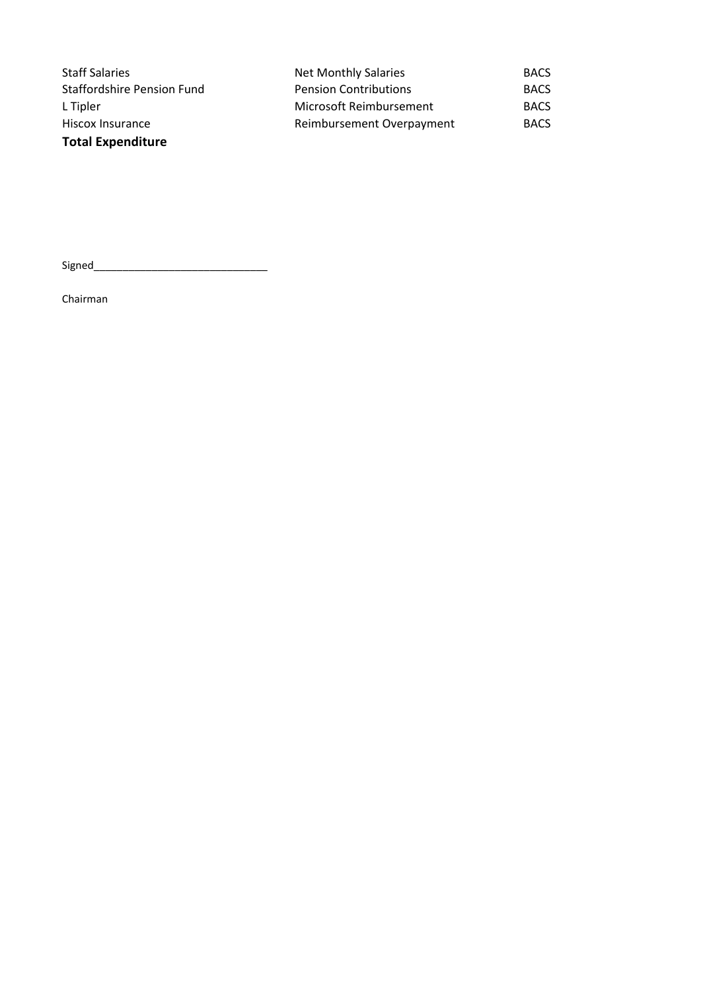| <b>Staff Salaries</b>             | <b>Net Monthly Salaries</b>  | <b>BACS</b> |
|-----------------------------------|------------------------------|-------------|
| <b>Staffordshire Pension Fund</b> | <b>Pension Contributions</b> | <b>BACS</b> |
| L Tipler                          | Microsoft Reimbursement      | <b>BACS</b> |
| Hiscox Insurance                  | Reimbursement Overpayment    | <b>BACS</b> |
| <b>Total Expenditure</b>          |                              |             |

Signed\_\_\_\_\_\_\_\_\_\_\_\_\_\_\_\_\_\_\_\_\_\_\_\_\_\_\_\_\_\_

Chairman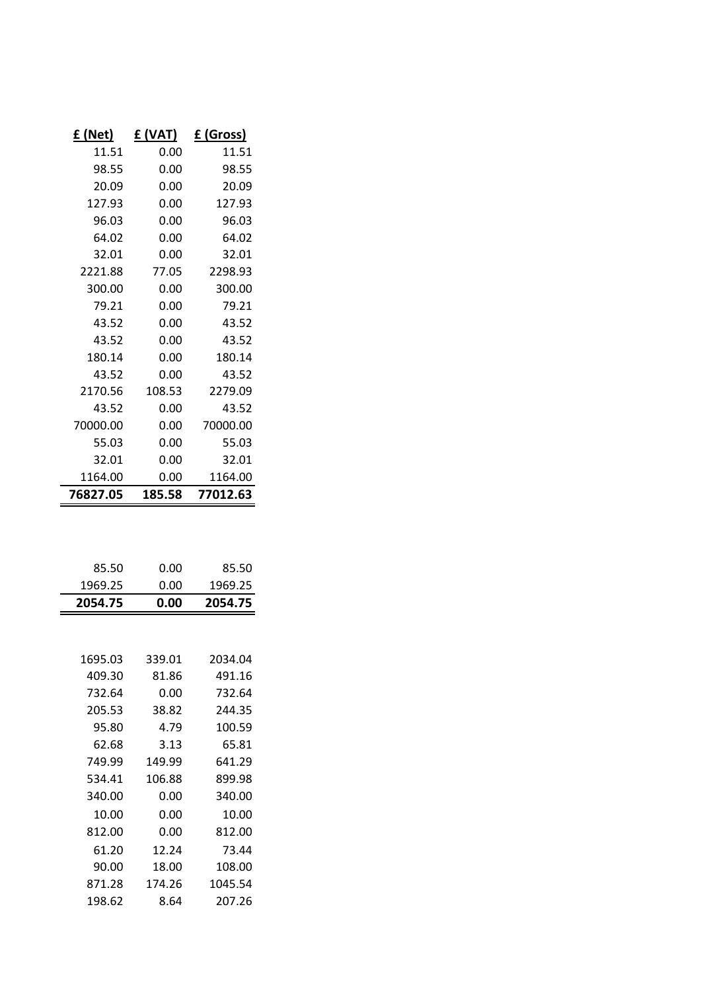| £ (Net)  | £ (VAT) | £ (Gross) |
|----------|---------|-----------|
| 11.51    | 0.00    | 11.51     |
| 98.55    | 0.00    | 98.55     |
| 20.09    | 0.00    | 20.09     |
| 127.93   | 0.00    | 127.93    |
| 96.03    | 0.00    | 96.03     |
| 64.02    | 0.00    | 64.02     |
| 32.01    | 0.00    | 32.01     |
| 2221.88  | 77.05   | 2298.93   |
| 300.00   | 0.00    | 300.00    |
| 79.21    | 0.00    | 79.21     |
| 43.52    | 0.00    | 43.52     |
| 43.52    | 0.00    | 43.52     |
| 180.14   | 0.00    | 180.14    |
| 43.52    | 0.00    | 43.52     |
| 2170.56  | 108.53  | 2279.09   |
| 43.52    | 0.00    | 43.52     |
| 70000.00 | 0.00    | 70000.00  |
| 55.03    | 0.00    | 55.03     |
| 32.01    | 0.00    | 32.01     |
| 1164.00  | 0.00    | 1164.00   |
| 76827.05 | 185.58  | 77012.63  |
|          |         |           |
|          |         |           |
| 85.50    | 0.00    | 85.50     |
| 1969.25  | 0.00    | 1969.25   |
| 2054.75  | 0.00    | 2054.75   |
|          |         |           |
| 1695.03  | 339.01  | 2034.04   |
| 409.30   | 81.86   | 491.16    |
| 732.64   | 0.00    | 732.64    |
| 205.53   | 38.82   | 244.35    |
| 95.80    | 4.79    | 100.59    |
| 62.68    | 3.13    | 65.81     |
| 749.99   | 149.99  | 641.29    |
| 534.41   | 106.88  | 899.98    |
| 340.00   | 0.00    | 340.00    |
| 10.00    | 0.00    | 10.00     |
| 812.00   | 0.00    | 812.00    |
| 61.20    | 12.24   | 73.44     |
| 90.00    | 18.00   | 108.00    |
| 871.28   | 174.26  | 1045.54   |